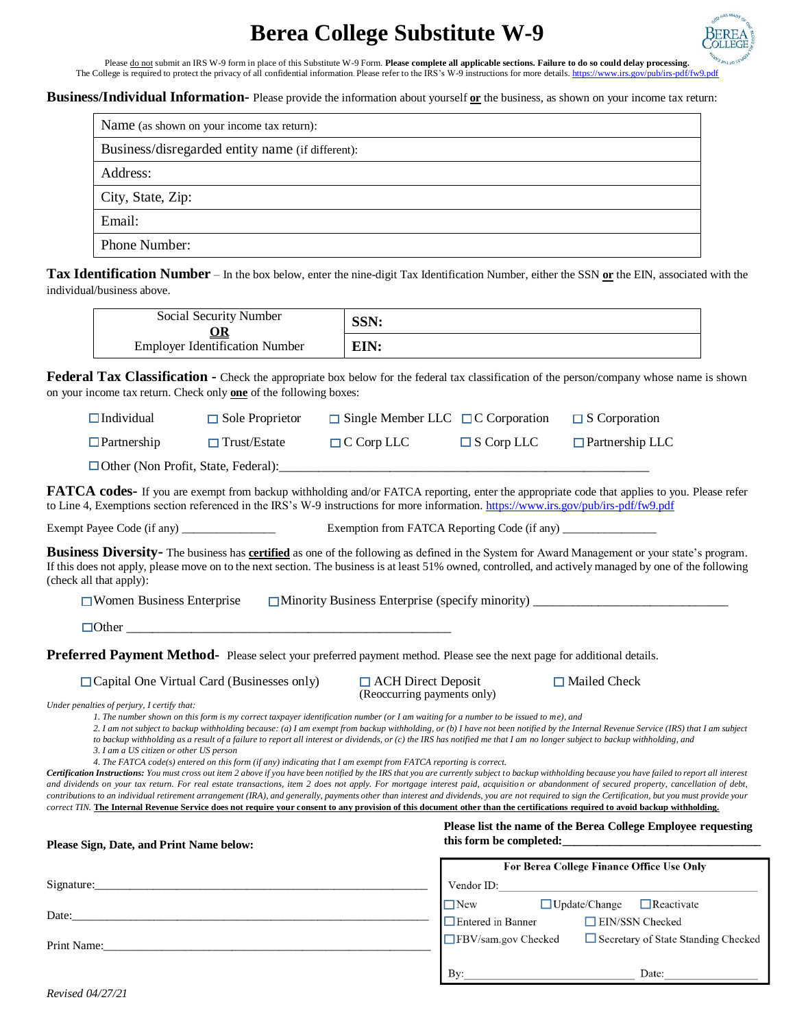# **Berea College Substitute W-9**



Please do not submit an IRS W-9 form in place of this Substitute W-9 Form. Please complete all applicable sections. Failure to do so could delay processing.<br>The College is required to protect the privacy of all confidentia

#### **Business/Individual Information-** Please provide the information about yourself **or** the business, as shown on your income tax return:

| Name (as shown on your income tax return):       |
|--------------------------------------------------|
| Business/disregarded entity name (if different): |
| Address:                                         |
| City, State, Zip:                                |
| Email:                                           |
| Phone Number:                                    |

**Tax Identification Number** – In the box below, enter the nine-digit Tax Identification Number, either the SSN **or** the EIN, associated with the individual/business above.

| Social Security Number<br>ОR          | SSN: |
|---------------------------------------|------|
| <b>Employer Identification Number</b> | EIN: |

**Federal Tax Classification -** Check the appropriate box below for the federal tax classification of the person/company whose name is shown on your income tax return. Check only **one** of the following boxes:

| $\Box$ Individual                           | $\Box$ Sole Proprietor                                                                                                                                                                                                                                                                                                                                                 | $\Box$ Single Member LLC $\Box$ C Corporation            |                          | $\Box$ S Corporation                                                                                                                                                                                                                                                                                                                                                                                                                                                                                                                                                                                                                                                                                                                                                                  |
|---------------------------------------------|------------------------------------------------------------------------------------------------------------------------------------------------------------------------------------------------------------------------------------------------------------------------------------------------------------------------------------------------------------------------|----------------------------------------------------------|--------------------------|---------------------------------------------------------------------------------------------------------------------------------------------------------------------------------------------------------------------------------------------------------------------------------------------------------------------------------------------------------------------------------------------------------------------------------------------------------------------------------------------------------------------------------------------------------------------------------------------------------------------------------------------------------------------------------------------------------------------------------------------------------------------------------------|
| $\Box$ Partnership                          |                                                                                                                                                                                                                                                                                                                                                                        | $\Box$ Trust/Estate $\Box$ C Corp LLC                    | $\Box$ S Corp LLC        | $\Box$ Partnership LLC                                                                                                                                                                                                                                                                                                                                                                                                                                                                                                                                                                                                                                                                                                                                                                |
|                                             |                                                                                                                                                                                                                                                                                                                                                                        |                                                          |                          |                                                                                                                                                                                                                                                                                                                                                                                                                                                                                                                                                                                                                                                                                                                                                                                       |
|                                             | to Line 4, Exemptions section referenced in the IRS's W-9 instructions for more information. https://www.irs.gov/pub/irs-pdf/fw9.pdf                                                                                                                                                                                                                                   |                                                          |                          | <b>FATCA codes-</b> If you are exempt from backup withholding and/or FATCA reporting, enter the appropriate code that applies to you. Please refer                                                                                                                                                                                                                                                                                                                                                                                                                                                                                                                                                                                                                                    |
|                                             | Exempt Payee Code (if any) ________________                                                                                                                                                                                                                                                                                                                            |                                                          |                          |                                                                                                                                                                                                                                                                                                                                                                                                                                                                                                                                                                                                                                                                                                                                                                                       |
| (check all that apply):                     |                                                                                                                                                                                                                                                                                                                                                                        |                                                          |                          | <b>Business Diversity-</b> The business has certified as one of the following as defined in the System for Award Management or your state's program.<br>If this does not apply, please move on to the next section. The business is at least 51% owned, controlled, and actively managed by one of the following                                                                                                                                                                                                                                                                                                                                                                                                                                                                      |
| $\Box$ Women Business Enterprise            |                                                                                                                                                                                                                                                                                                                                                                        |                                                          |                          | □ Minority Business Enterprise (specify minority) ______________________________                                                                                                                                                                                                                                                                                                                                                                                                                                                                                                                                                                                                                                                                                                      |
|                                             | $\Box$ Other                                                                                                                                                                                                                                                                                                                                                           |                                                          |                          |                                                                                                                                                                                                                                                                                                                                                                                                                                                                                                                                                                                                                                                                                                                                                                                       |
|                                             | Preferred Payment Method- Please select your preferred payment method. Please see the next page for additional details.                                                                                                                                                                                                                                                |                                                          |                          |                                                                                                                                                                                                                                                                                                                                                                                                                                                                                                                                                                                                                                                                                                                                                                                       |
| Under penalties of perjury, I certify that: | $\Box$ Capital One Virtual Card (Businesses only)<br>1. The number shown on this form is my correct taxpayer identification number (or I am waiting for a number to be issued to me), and<br>to backup withholding as a result of a failure to report all interest or dividends, or (c) the IRS has notified me that I am no longer subject to backup withholding, and | $\Box$ ACH Direct Deposit<br>(Reoccurring payments only) |                          | $\Box$ Mailed Check<br>2. I am not subject to backup withholding because: (a) I am exempt from backup withholding, or (b) I have not been notified by the Internal Revenue Service (IRS) that I am subject                                                                                                                                                                                                                                                                                                                                                                                                                                                                                                                                                                            |
| 3. I am a US citizen or other US person     | 4. The FATCA code(s) entered on this form (if any) indicating that I am exempt from FATCA reporting is correct.                                                                                                                                                                                                                                                        |                                                          |                          | Certification Instructions: You must cross out item 2 above if you have been notified by the IRS that you are currently subject to backup withholding because you have failed to report all interest<br>and dividends on your tax retum. For real estate transactions, item 2 does not apply. For mortgage interest paid, acquisition or abandonment of secured property, cancellation of debt,<br>contributions to an individual retirement arrangement (IRA), and generally, payments other than interest and dividends, you are not required to sign the Certification, but you must provide your<br>correct TIN. The Internal Revenue Service does not require your consent to any provision of this document other than the certifications required to avoid backup withholding. |
| Please Sign, Date, and Print Name below:    |                                                                                                                                                                                                                                                                                                                                                                        |                                                          |                          | Please list the name of the Berea College Employee requesting<br>this form be completed:                                                                                                                                                                                                                                                                                                                                                                                                                                                                                                                                                                                                                                                                                              |
|                                             |                                                                                                                                                                                                                                                                                                                                                                        |                                                          |                          | <b>For Berea College Finance Office Use Only</b>                                                                                                                                                                                                                                                                                                                                                                                                                                                                                                                                                                                                                                                                                                                                      |
|                                             |                                                                                                                                                                                                                                                                                                                                                                        |                                                          |                          | Vendor ID: New York Contract to the Contract of the Contract of the Contract of the Contract of the Contract of the Contract of the Contract of the Contract of the Contract of the Contract of the Contract of the Contract o<br>$\Box$ New $\Box$ Update/Change $\Box$ Reactivate                                                                                                                                                                                                                                                                                                                                                                                                                                                                                                   |
|                                             |                                                                                                                                                                                                                                                                                                                                                                        |                                                          | $\Box$ Entered in Banner | EIN/SSN Checked                                                                                                                                                                                                                                                                                                                                                                                                                                                                                                                                                                                                                                                                                                                                                                       |
|                                             |                                                                                                                                                                                                                                                                                                                                                                        |                                                          | FBV/sam.gov Checked      | Secretary of State Standing Checked                                                                                                                                                                                                                                                                                                                                                                                                                                                                                                                                                                                                                                                                                                                                                   |

By:

Date: